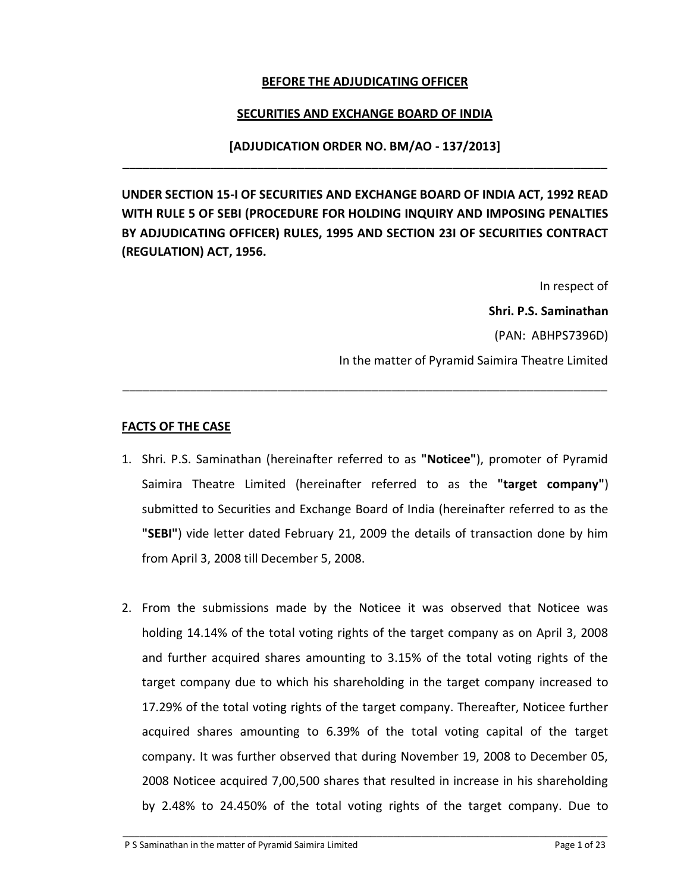#### **BEFORE THE ADJUDICATING OFFICER**

#### **SECURITIES AND EXCHANGE BOARD OF INDIA**

# **[ADJUDICATION ORDER NO. BM/AO - 137/2013]** \_\_\_\_\_\_\_\_\_\_\_\_\_\_\_\_\_\_\_\_\_\_\_\_\_\_\_\_\_\_\_\_\_\_\_\_\_\_\_\_\_\_\_\_\_\_\_\_\_\_\_\_\_\_\_\_\_\_\_\_\_\_\_\_\_\_\_\_\_\_\_\_

**UNDER SECTION 15-I OF SECURITIES AND EXCHANGE BOARD OF INDIA ACT, 1992 READ WITH RULE 5 OF SEBI (PROCEDURE FOR HOLDING INQUIRY AND IMPOSING PENALTIES BY ADJUDICATING OFFICER) RULES, 1995 AND SECTION 23I OF SECURITIES CONTRACT (REGULATION) ACT, 1956.**

> In respect of **Shri. P.S. Saminathan**  (PAN: ABHPS7396D) In the matter of Pyramid Saimira Theatre Limited

#### **FACTS OF THE CASE**

1. Shri. P.S. Saminathan (hereinafter referred to as **"Noticee"**), promoter of Pyramid Saimira Theatre Limited (hereinafter referred to as the **"target company"**) submitted to Securities and Exchange Board of India (hereinafter referred to as the **"SEBI"**) vide letter dated February 21, 2009 the details of transaction done by him from April 3, 2008 till December 5, 2008.

\_\_\_\_\_\_\_\_\_\_\_\_\_\_\_\_\_\_\_\_\_\_\_\_\_\_\_\_\_\_\_\_\_\_\_\_\_\_\_\_\_\_\_\_\_\_\_\_\_\_\_\_\_\_\_\_\_\_\_\_\_\_\_\_\_\_\_\_\_\_\_\_

2. From the submissions made by the Noticee it was observed that Noticee was holding 14.14% of the total voting rights of the target company as on April 3, 2008 and further acquired shares amounting to 3.15% of the total voting rights of the target company due to which his shareholding in the target company increased to 17.29% of the total voting rights of the target company. Thereafter, Noticee further acquired shares amounting to 6.39% of the total voting capital of the target company. It was further observed that during November 19, 2008 to December 05, 2008 Noticee acquired 7,00,500 shares that resulted in increase in his shareholding by 2.48% to 24.450% of the total voting rights of the target company. Due to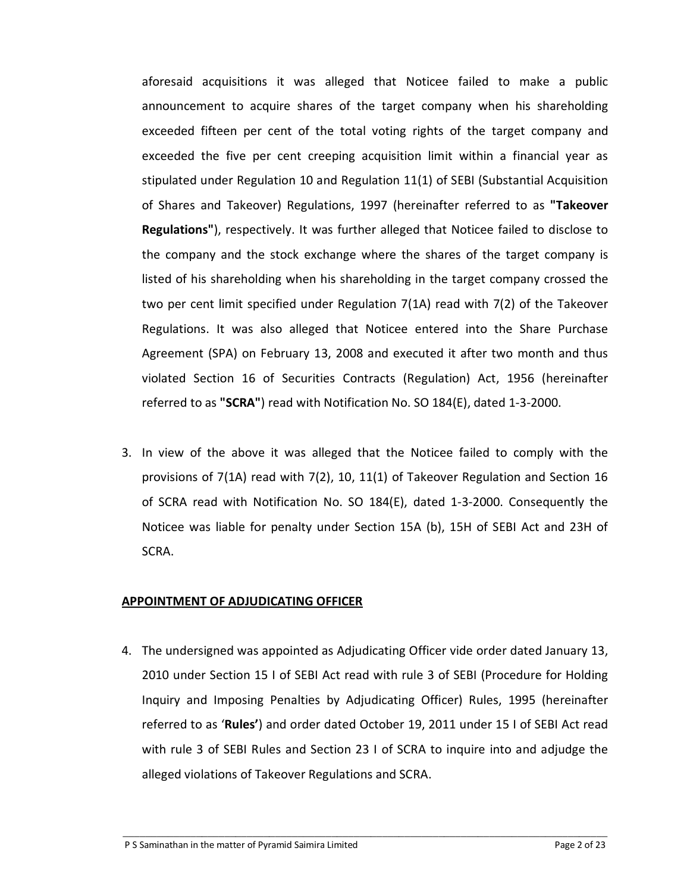aforesaid acquisitions it was alleged that Noticee failed to make a public announcement to acquire shares of the target company when his shareholding exceeded fifteen per cent of the total voting rights of the target company and exceeded the five per cent creeping acquisition limit within a financial year as stipulated under Regulation 10 and Regulation 11(1) of SEBI (Substantial Acquisition of Shares and Takeover) Regulations, 1997 (hereinafter referred to as **"Takeover Regulations"**), respectively. It was further alleged that Noticee failed to disclose to the company and the stock exchange where the shares of the target company is listed of his shareholding when his shareholding in the target company crossed the two per cent limit specified under Regulation 7(1A) read with 7(2) of the Takeover Regulations. It was also alleged that Noticee entered into the Share Purchase Agreement (SPA) on February 13, 2008 and executed it after two month and thus violated Section 16 of Securities Contracts (Regulation) Act, 1956 (hereinafter referred to as **"SCRA"**) read with Notification No. SO 184(E), dated 1-3-2000.

3. In view of the above it was alleged that the Noticee failed to comply with the provisions of 7(1A) read with 7(2), 10, 11(1) of Takeover Regulation and Section 16 of SCRA read with Notification No. SO 184(E), dated 1-3-2000. Consequently the Noticee was liable for penalty under Section 15A (b), 15H of SEBI Act and 23H of SCRA.

#### **APPOINTMENT OF ADJUDICATING OFFICER**

4. The undersigned was appointed as Adjudicating Officer vide order dated January 13, 2010 under Section 15 I of SEBI Act read with rule 3 of SEBI (Procedure for Holding Inquiry and Imposing Penalties by Adjudicating Officer) Rules, 1995 (hereinafter referred to as '**Rules'**) and order dated October 19, 2011 under 15 I of SEBI Act read with rule 3 of SEBI Rules and Section 23 I of SCRA to inquire into and adjudge the alleged violations of Takeover Regulations and SCRA.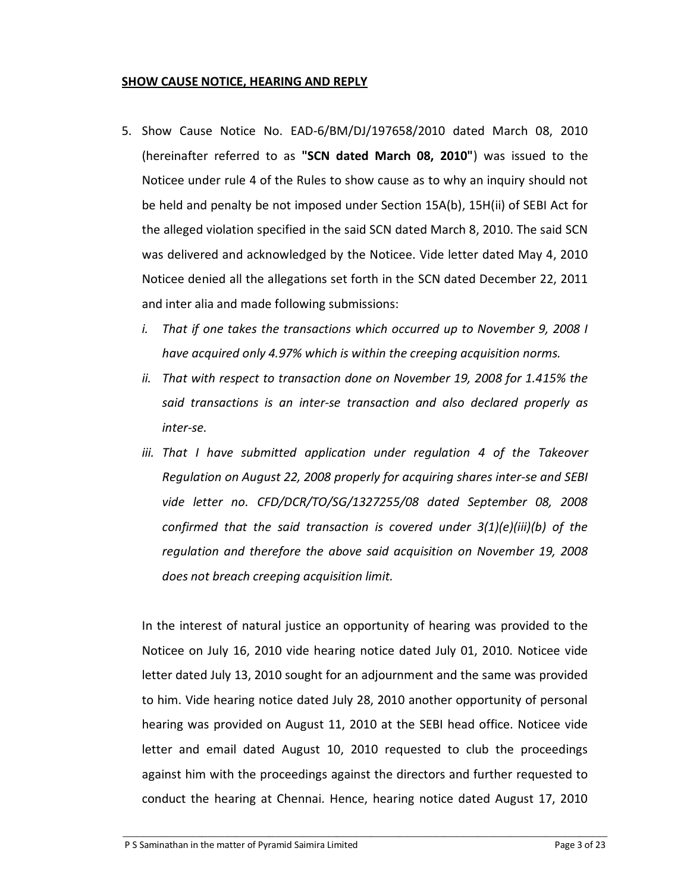#### **SHOW CAUSE NOTICE, HEARING AND REPLY**

- 5. Show Cause Notice No. EAD-6/BM/DJ/197658/2010 dated March 08, 2010 (hereinafter referred to as **"SCN dated March 08, 2010"**) was issued to the Noticee under rule 4 of the Rules to show cause as to why an inquiry should not be held and penalty be not imposed under Section 15A(b), 15H(ii) of SEBI Act for the alleged violation specified in the said SCN dated March 8, 2010. The said SCN was delivered and acknowledged by the Noticee. Vide letter dated May 4, 2010 Noticee denied all the allegations set forth in the SCN dated December 22, 2011 and inter alia and made following submissions:
	- *i. That if one takes the transactions which occurred up to November 9, 2008 I have acquired only 4.97% which is within the creeping acquisition norms.*
	- *ii. That with respect to transaction done on November 19, 2008 for 1.415% the said transactions is an inter-se transaction and also declared properly as inter-se.*
	- *iii. That I have submitted application under regulation 4 of the Takeover Regulation on August 22, 2008 properly for acquiring shares inter-se and SEBI vide letter no. CFD/DCR/TO/SG/1327255/08 dated September 08, 2008 confirmed that the said transaction is covered under 3(1)(e)(iii)(b) of the regulation and therefore the above said acquisition on November 19, 2008 does not breach creeping acquisition limit.*

In the interest of natural justice an opportunity of hearing was provided to the Noticee on July 16, 2010 vide hearing notice dated July 01, 2010. Noticee vide letter dated July 13, 2010 sought for an adjournment and the same was provided to him. Vide hearing notice dated July 28, 2010 another opportunity of personal hearing was provided on August 11, 2010 at the SEBI head office. Noticee vide letter and email dated August 10, 2010 requested to club the proceedings against him with the proceedings against the directors and further requested to conduct the hearing at Chennai. Hence, hearing notice dated August 17, 2010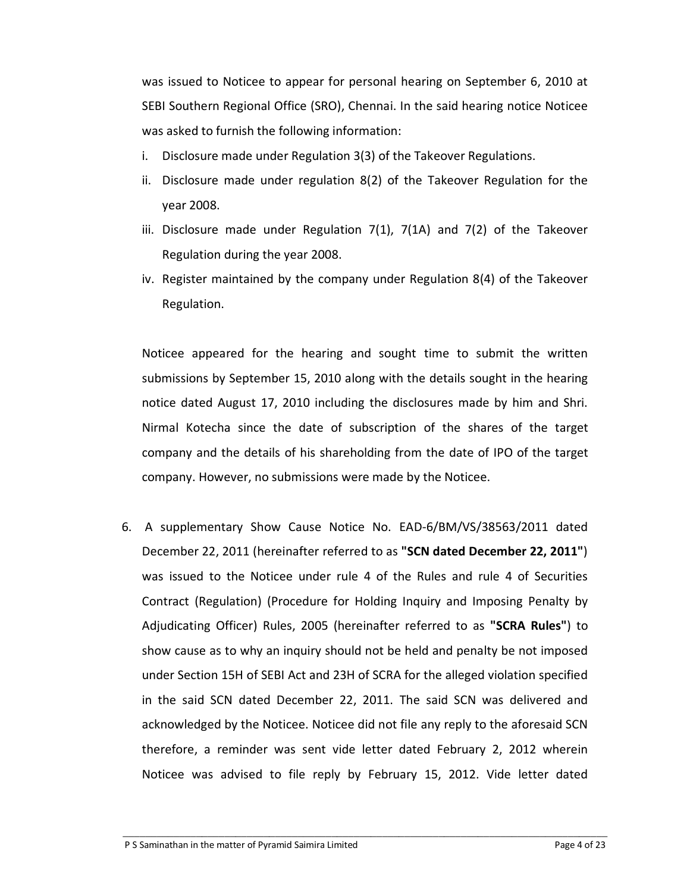was issued to Noticee to appear for personal hearing on September 6, 2010 at SEBI Southern Regional Office (SRO), Chennai. In the said hearing notice Noticee was asked to furnish the following information:

- i. Disclosure made under Regulation 3(3) of the Takeover Regulations.
- ii. Disclosure made under regulation 8(2) of the Takeover Regulation for the year 2008.
- iii. Disclosure made under Regulation 7(1), 7(1A) and 7(2) of the Takeover Regulation during the year 2008.
- iv. Register maintained by the company under Regulation 8(4) of the Takeover Regulation.

Noticee appeared for the hearing and sought time to submit the written submissions by September 15, 2010 along with the details sought in the hearing notice dated August 17, 2010 including the disclosures made by him and Shri. Nirmal Kotecha since the date of subscription of the shares of the target company and the details of his shareholding from the date of IPO of the target company. However, no submissions were made by the Noticee.

6. A supplementary Show Cause Notice No. EAD-6/BM/VS/38563/2011 dated December 22, 2011 (hereinafter referred to as **"SCN dated December 22, 2011"**) was issued to the Noticee under rule 4 of the Rules and rule 4 of Securities Contract (Regulation) (Procedure for Holding Inquiry and Imposing Penalty by Adjudicating Officer) Rules, 2005 (hereinafter referred to as **"SCRA Rules"**) to show cause as to why an inquiry should not be held and penalty be not imposed under Section 15H of SEBI Act and 23H of SCRA for the alleged violation specified in the said SCN dated December 22, 2011. The said SCN was delivered and acknowledged by the Noticee. Noticee did not file any reply to the aforesaid SCN therefore, a reminder was sent vide letter dated February 2, 2012 wherein Noticee was advised to file reply by February 15, 2012. Vide letter dated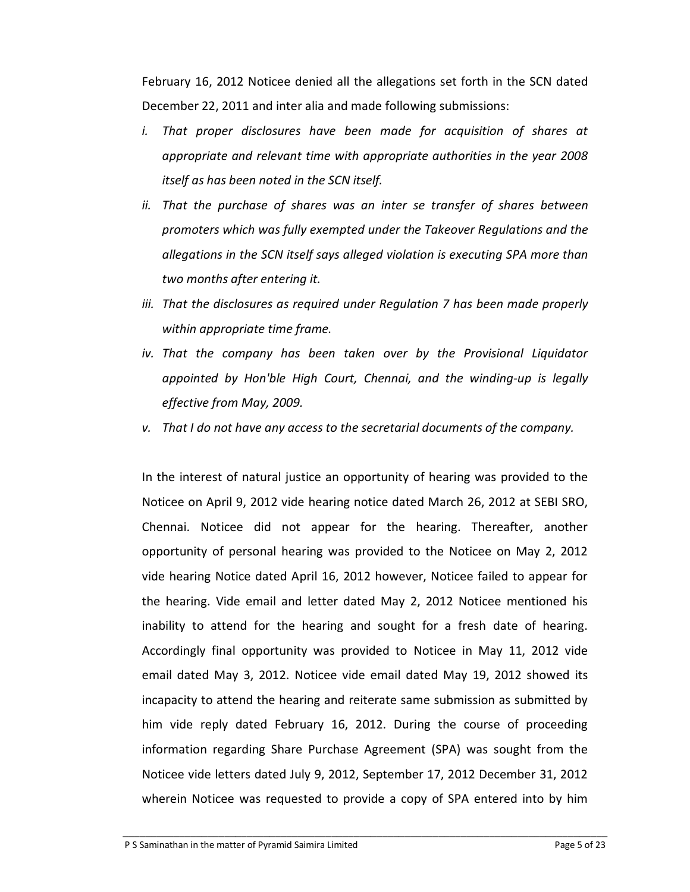February 16, 2012 Noticee denied all the allegations set forth in the SCN dated December 22, 2011 and inter alia and made following submissions:

- *i. That proper disclosures have been made for acquisition of shares at appropriate and relevant time with appropriate authorities in the year 2008 itself as has been noted in the SCN itself.*
- *ii. That the purchase of shares was an inter se transfer of shares between promoters which was fully exempted under the Takeover Regulations and the allegations in the SCN itself says alleged violation is executing SPA more than two months after entering it.*
- iii. That the disclosures as required under Regulation 7 has been made properly *within appropriate time frame.*
- *iv. That the company has been taken over by the Provisional Liquidator appointed by Hon'ble High Court, Chennai, and the winding-up is legally effective from May, 2009.*
- *v. That I do not have any access to the secretarial documents of the company.*

In the interest of natural justice an opportunity of hearing was provided to the Noticee on April 9, 2012 vide hearing notice dated March 26, 2012 at SEBI SRO, Chennai. Noticee did not appear for the hearing. Thereafter, another opportunity of personal hearing was provided to the Noticee on May 2, 2012 vide hearing Notice dated April 16, 2012 however, Noticee failed to appear for the hearing. Vide email and letter dated May 2, 2012 Noticee mentioned his inability to attend for the hearing and sought for a fresh date of hearing. Accordingly final opportunity was provided to Noticee in May 11, 2012 vide email dated May 3, 2012. Noticee vide email dated May 19, 2012 showed its incapacity to attend the hearing and reiterate same submission as submitted by him vide reply dated February 16, 2012. During the course of proceeding information regarding Share Purchase Agreement (SPA) was sought from the Noticee vide letters dated July 9, 2012, September 17, 2012 December 31, 2012 wherein Noticee was requested to provide a copy of SPA entered into by him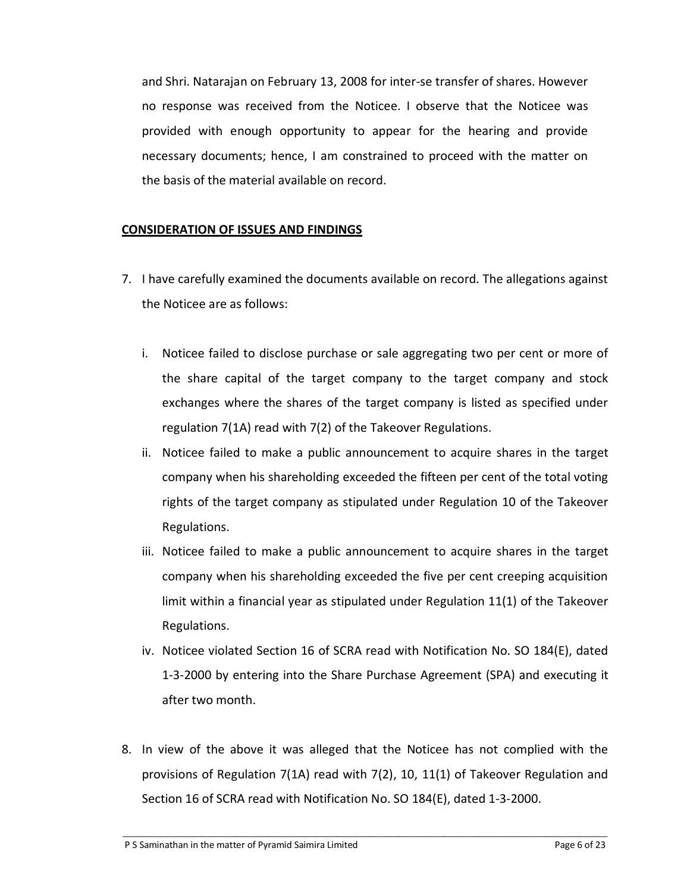and Shri. Natarajan on February 13, 2008 for inter-se transfer of shares. However no response was received from the Noticee. I observe that the Noticee was provided with enough opportunity to appear for the hearing and provide necessary documents; hence, I am constrained to proceed with the matter on the basis of the material available on record.

## **CONSIDERATION OF ISSUES AND FINDINGS**

- 7. I have carefully examined the documents available on record. The allegations against the Noticee are as follows:
	- i. Noticee failed to disclose purchase or sale aggregating two per cent or more of the share capital of the target company to the target company and stock exchanges where the shares of the target company is listed as specified under regulation 7(1A) read with 7(2) of the Takeover Regulations.
	- ii. Noticee failed to make a public announcement to acquire shares in the target company when his shareholding exceeded the fifteen per cent of the total voting rights of the target company as stipulated under Regulation 10 of the Takeover Regulations.
	- iii. Noticee failed to make a public announcement to acquire shares in the target company when his shareholding exceeded the five per cent creeping acquisition limit within a financial year as stipulated under Regulation 11(1) of the Takeover Regulations.
	- iv. Noticee violated Section 16 of SCRA read with Notification No. SO 184(E), dated 1-3-2000 by entering into the Share Purchase Agreement (SPA) and executing it after two month.
- 8. In view of the above it was alleged that the Noticee has not complied with the provisions of Regulation 7(1A) read with 7(2), 10, 11(1) of Takeover Regulation and Section 16 of SCRA read with Notification No. SO 184(E), dated 1-3-2000.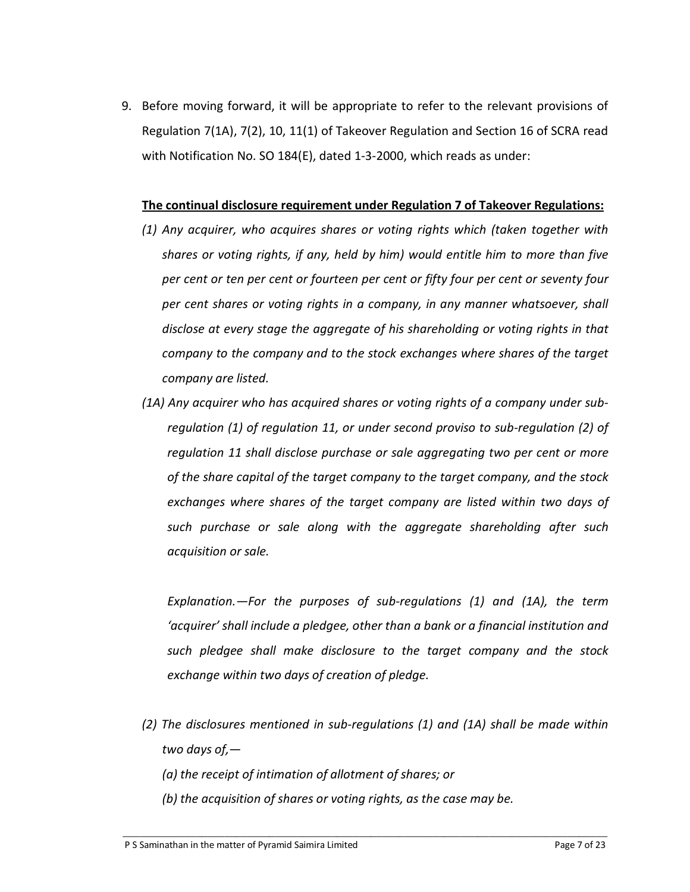9. Before moving forward, it will be appropriate to refer to the relevant provisions of Regulation 7(1A), 7(2), 10, 11(1) of Takeover Regulation and Section 16 of SCRA read with Notification No. SO 184(E), dated 1-3-2000, which reads as under:

#### **The continual disclosure requirement under Regulation 7 of Takeover Regulations:**

- *(1) Any acquirer, who acquires shares or voting rights which (taken together with shares or voting rights, if any, held by him) would entitle him to more than five per cent or ten per cent or fourteen per cent or fifty four per cent or seventy four per cent shares or voting rights in a company, in any manner whatsoever, shall disclose at every stage the aggregate of his shareholding or voting rights in that company to the company and to the stock exchanges where shares of the target company are listed.*
- *(1A) Any acquirer who has acquired shares or voting rights of a company under subregulation (1) of regulation 11, or under second proviso to sub-regulation (2) of regulation 11 shall disclose purchase or sale aggregating two per cent or more of the share capital of the target company to the target company, and the stock exchanges where shares of the target company are listed within two days of such purchase or sale along with the aggregate shareholding after such acquisition or sale.*

*Explanation.—For the purposes of sub-regulations (1) and (1A), the term 'acquirer' shall include a pledgee, other than a bank or a financial institution and such pledgee shall make disclosure to the target company and the stock exchange within two days of creation of pledge.* 

- *(2) The disclosures mentioned in sub-regulations (1) and (1A) shall be made within two days of,—* 
	- *(a) the receipt of intimation of allotment of shares; or*
	- *(b) the acquisition of shares or voting rights, as the case may be.*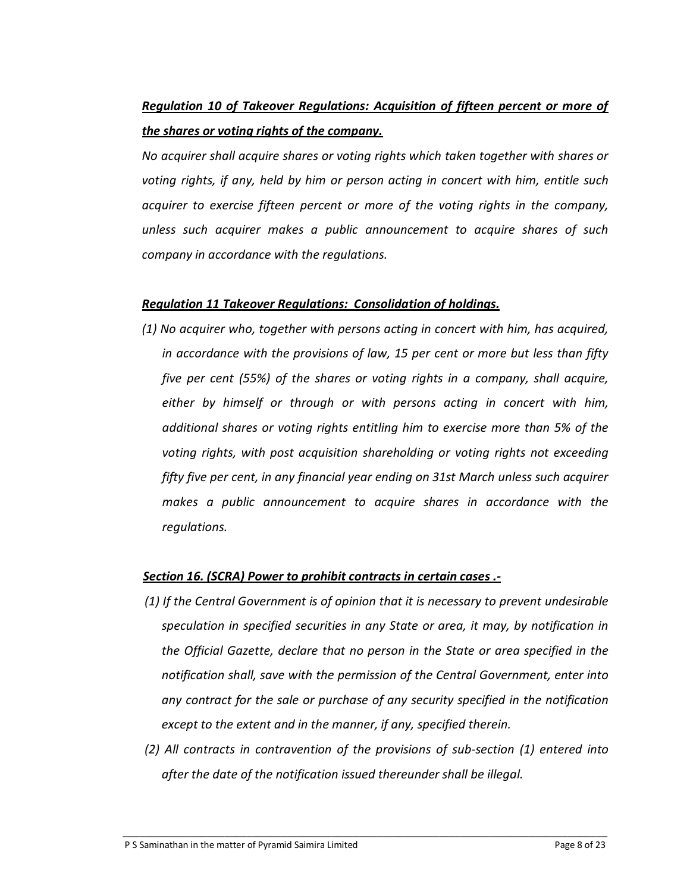# *Regulation 10 of Takeover Regulations: Acquisition of fifteen percent or more of the shares or voting rights of the company.*

*No acquirer shall acquire shares or voting rights which taken together with shares or voting rights, if any, held by him or person acting in concert with him, entitle such acquirer to exercise fifteen percent or more of the voting rights in the company, unless such acquirer makes a public announcement to acquire shares of such company in accordance with the regulations.* 

#### *Regulation 11 Takeover Regulations: Consolidation of holdings.*

*(1) No acquirer who, together with persons acting in concert with him, has acquired, in accordance with the provisions of law, 15 per cent or more but less than fifty five per cent (55%) of the shares or voting rights in a company, shall acquire, either by himself or through or with persons acting in concert with him, additional shares or voting rights entitling him to exercise more than 5% of the voting rights, with post acquisition shareholding or voting rights not exceeding fifty five per cent, in any financial year ending on 31st March unless such acquirer makes a public announcement to acquire shares in accordance with the regulations.* 

#### *Section 16. (SCRA) Power to prohibit contracts in certain cases .-*

- *(1) If the Central Government is of opinion that it is necessary to prevent undesirable speculation in specified securities in any State or area, it may, by notification in the Official Gazette, declare that no person in the State or area specified in the notification shall, save with the permission of the Central Government, enter into any contract for the sale or purchase of any security specified in the notification except to the extent and in the manner, if any, specified therein.*
- *(2) All contracts in contravention of the provisions of sub-section (1) entered into after the date of the notification issued thereunder shall be illegal.*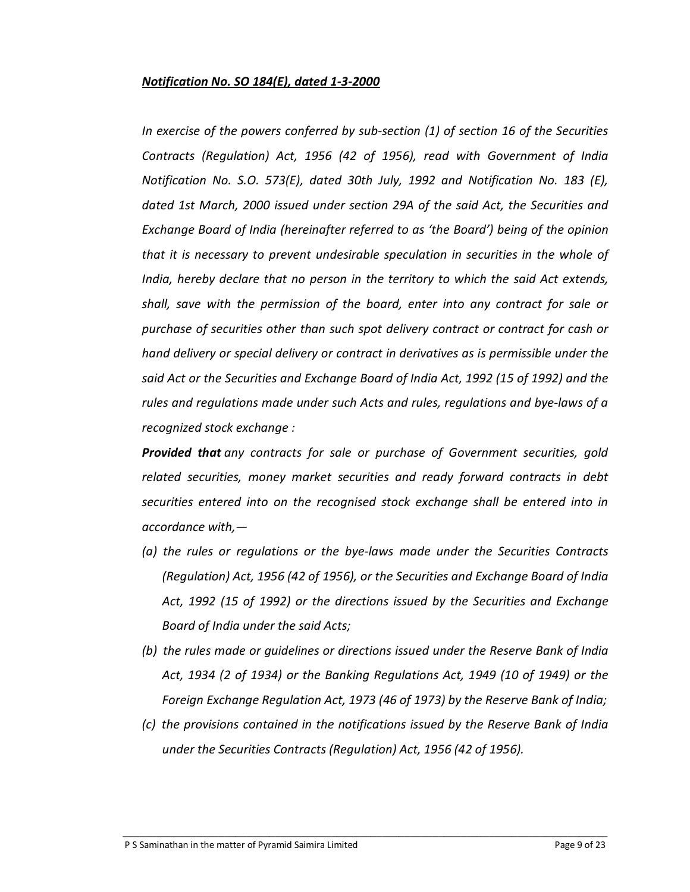## *Notification No. SO 184(E), dated 1-3-2000*

*In exercise of the powers conferred by sub-section (1) of section 16 of the Securities Contracts (Regulation) Act, 1956 (42 of 1956), read with Government of India Notification No. S.O. 573(E), dated 30th July, 1992 and Notification No. 183 (E), dated 1st March, 2000 issued under section 29A of the said Act, the Securities and Exchange Board of India (hereinafter referred to as 'the Board') being of the opinion that it is necessary to prevent undesirable speculation in securities in the whole of India, hereby declare that no person in the territory to which the said Act extends, shall, save with the permission of the board, enter into any contract for sale or purchase of securities other than such spot delivery contract or contract for cash or hand delivery or special delivery or contract in derivatives as is permissible under the said Act or the Securities and Exchange Board of India Act, 1992 (15 of 1992) and the rules and regulations made under such Acts and rules, regulations and bye-laws of a recognized stock exchange :* 

*Provided that any contracts for sale or purchase of Government securities, gold related securities, money market securities and ready forward contracts in debt securities entered into on the recognised stock exchange shall be entered into in accordance with,—* 

- *(a) the rules or regulations or the bye-laws made under the Securities Contracts (Regulation) Act, 1956 (42 of 1956), or the Securities and Exchange Board of India Act, 1992 (15 of 1992) or the directions issued by the Securities and Exchange Board of India under the said Acts;*
- *(b) the rules made or guidelines or directions issued under the Reserve Bank of India Act, 1934 (2 of 1934) or the Banking Regulations Act, 1949 (10 of 1949) or the Foreign Exchange Regulation Act, 1973 (46 of 1973) by the Reserve Bank of India;*
- *(c) the provisions contained in the notifications issued by the Reserve Bank of India under the Securities Contracts (Regulation) Act, 1956 (42 of 1956).*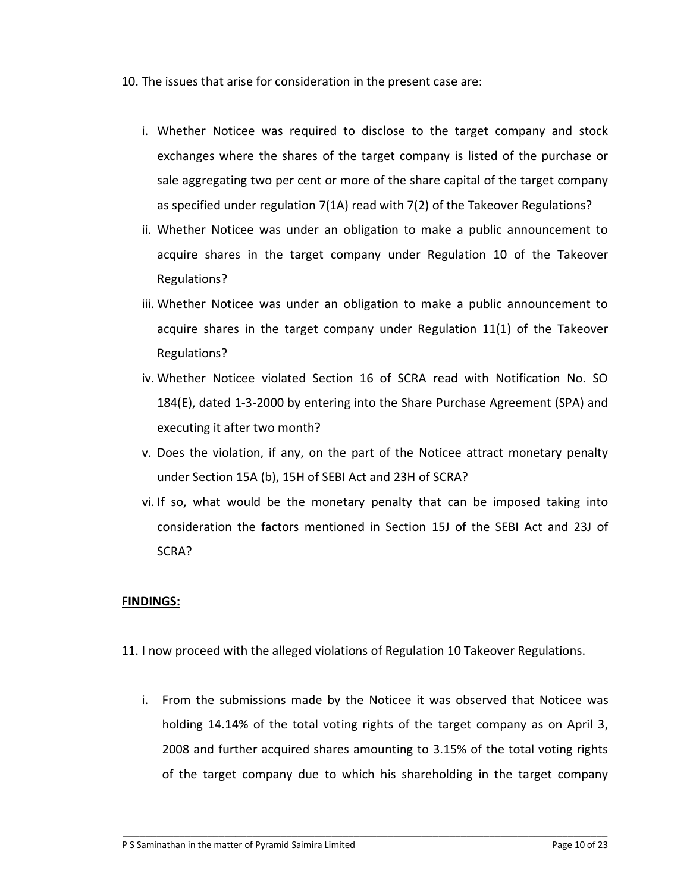- 10. The issues that arise for consideration in the present case are:
	- i. Whether Noticee was required to disclose to the target company and stock exchanges where the shares of the target company is listed of the purchase or sale aggregating two per cent or more of the share capital of the target company as specified under regulation 7(1A) read with 7(2) of the Takeover Regulations?
	- ii. Whether Noticee was under an obligation to make a public announcement to acquire shares in the target company under Regulation 10 of the Takeover Regulations?
	- iii. Whether Noticee was under an obligation to make a public announcement to acquire shares in the target company under Regulation 11(1) of the Takeover Regulations?
	- iv. Whether Noticee violated Section 16 of SCRA read with Notification No. SO 184(E), dated 1-3-2000 by entering into the Share Purchase Agreement (SPA) and executing it after two month?
	- v. Does the violation, if any, on the part of the Noticee attract monetary penalty under Section 15A (b), 15H of SEBI Act and 23H of SCRA?
	- vi. If so, what would be the monetary penalty that can be imposed taking into consideration the factors mentioned in Section 15J of the SEBI Act and 23J of SCRA?

#### **FINDINGS:**

- 11. I now proceed with the alleged violations of Regulation 10 Takeover Regulations.
	- i. From the submissions made by the Noticee it was observed that Noticee was holding 14.14% of the total voting rights of the target company as on April 3, 2008 and further acquired shares amounting to 3.15% of the total voting rights of the target company due to which his shareholding in the target company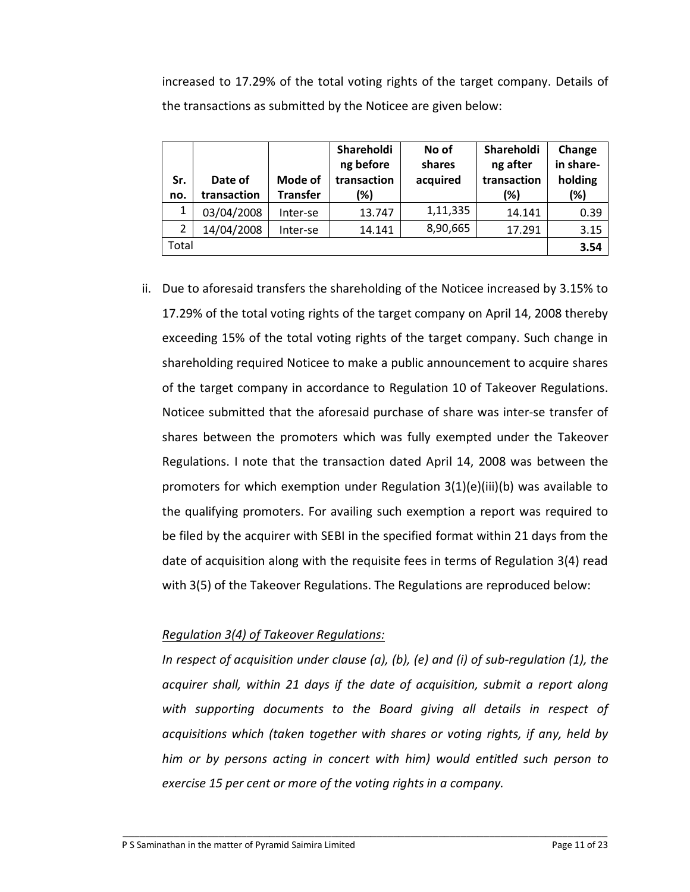increased to 17.29% of the total voting rights of the target company. Details of the transactions as submitted by the Noticee are given below:

| Sr.<br>no. | Date of<br>transaction | Mode of<br><b>Transfer</b> | Shareholdi<br>ng before<br>transaction<br>(%) | No of<br>shares<br>acquired | Shareholdi<br>ng after<br>transaction<br>(%) | Change<br>in share-<br>holding<br>$(\%)$ |
|------------|------------------------|----------------------------|-----------------------------------------------|-----------------------------|----------------------------------------------|------------------------------------------|
| 1          | 03/04/2008             | Inter-se                   | 13.747                                        | 1,11,335                    | 14.141                                       | 0.39                                     |
| 2          | 14/04/2008             | Inter-se                   | 14.141                                        | 8,90,665                    | 17.291                                       | 3.15                                     |
| Total      |                        |                            |                                               |                             |                                              |                                          |

ii. Due to aforesaid transfers the shareholding of the Noticee increased by 3.15% to 17.29% of the total voting rights of the target company on April 14, 2008 thereby exceeding 15% of the total voting rights of the target company. Such change in shareholding required Noticee to make a public announcement to acquire shares of the target company in accordance to Regulation 10 of Takeover Regulations. Noticee submitted that the aforesaid purchase of share was inter-se transfer of shares between the promoters which was fully exempted under the Takeover Regulations. I note that the transaction dated April 14, 2008 was between the promoters for which exemption under Regulation 3(1)(e)(iii)(b) was available to the qualifying promoters. For availing such exemption a report was required to be filed by the acquirer with SEBI in the specified format within 21 days from the date of acquisition along with the requisite fees in terms of Regulation 3(4) read with 3(5) of the Takeover Regulations. The Regulations are reproduced below:

# *Regulation 3(4) of Takeover Regulations:*

*In respect of acquisition under clause (a), (b), (e) and (i) of sub-regulation (1), the acquirer shall, within 21 days if the date of acquisition, submit a report along with supporting documents to the Board giving all details in respect of acquisitions which (taken together with shares or voting rights, if any, held by him or by persons acting in concert with him) would entitled such person to exercise 15 per cent or more of the voting rights in a company.*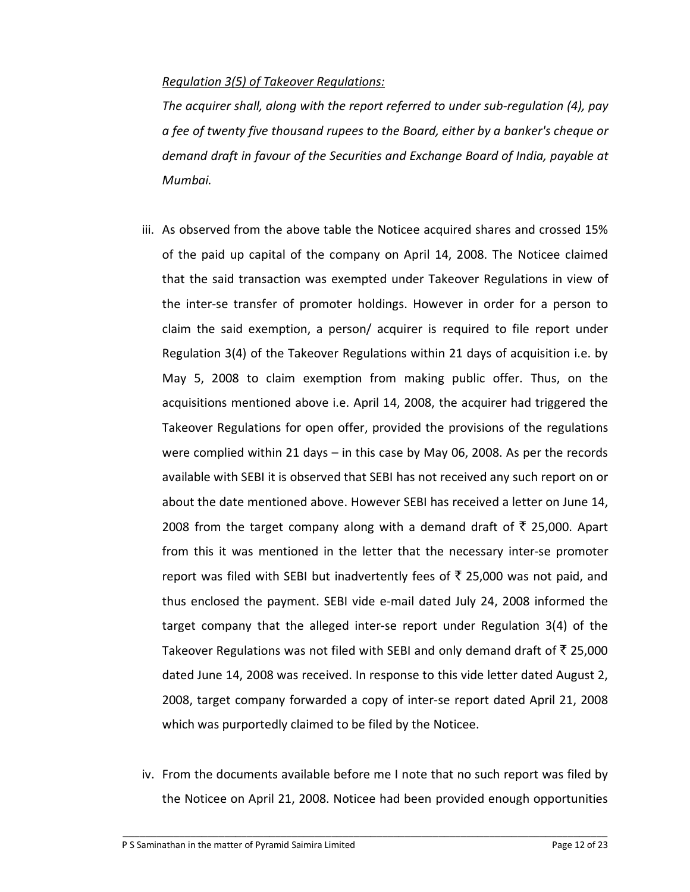## *Regulation 3(5) of Takeover Regulations:*

*The acquirer shall, along with the report referred to under sub-regulation (4), pay a fee of twenty five thousand rupees to the Board, either by a banker's cheque or demand draft in favour of the Securities and Exchange Board of India, payable at Mumbai.* 

- iii. As observed from the above table the Noticee acquired shares and crossed 15% of the paid up capital of the company on April 14, 2008. The Noticee claimed that the said transaction was exempted under Takeover Regulations in view of the inter-se transfer of promoter holdings. However in order for a person to claim the said exemption, a person/ acquirer is required to file report under Regulation 3(4) of the Takeover Regulations within 21 days of acquisition i.e. by May 5, 2008 to claim exemption from making public offer. Thus, on the acquisitions mentioned above i.e. April 14, 2008, the acquirer had triggered the Takeover Regulations for open offer, provided the provisions of the regulations were complied within 21 days – in this case by May 06, 2008. As per the records available with SEBI it is observed that SEBI has not received any such report on or about the date mentioned above. However SEBI has received a letter on June 14, 2008 from the target company along with a demand draft of  $\bar{\tau}$  25,000. Apart from this it was mentioned in the letter that the necessary inter-se promoter report was filed with SEBI but inadvertently fees of  $\bar{\tau}$  25,000 was not paid, and thus enclosed the payment. SEBI vide e-mail dated July 24, 2008 informed the target company that the alleged inter-se report under Regulation 3(4) of the Takeover Regulations was not filed with SEBI and only demand draft of  $\bar{\tau}$  25,000 dated June 14, 2008 was received. In response to this vide letter dated August 2, 2008, target company forwarded a copy of inter-se report dated April 21, 2008 which was purportedly claimed to be filed by the Noticee.
- iv. From the documents available before me I note that no such report was filed by the Noticee on April 21, 2008. Noticee had been provided enough opportunities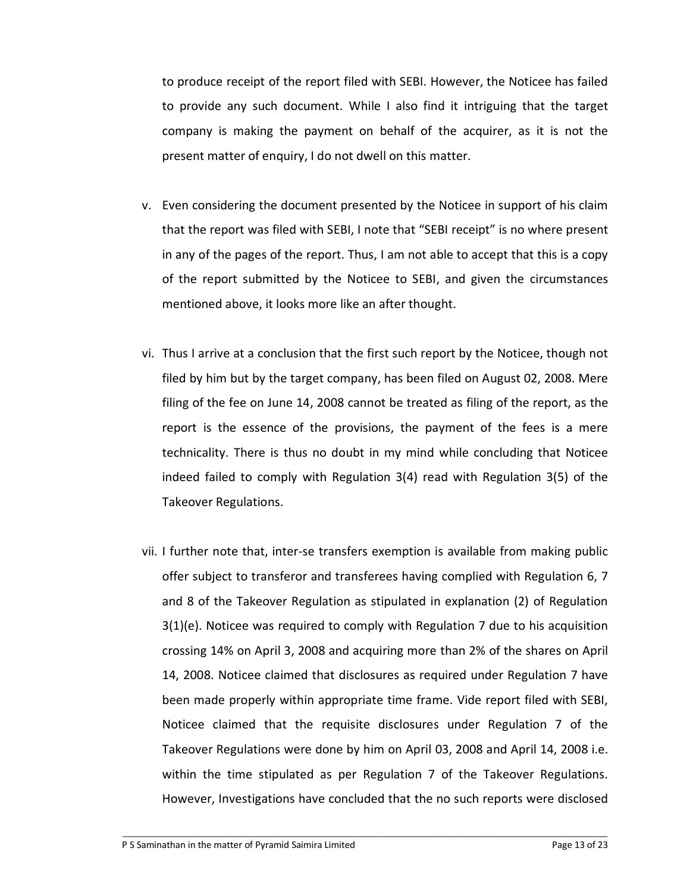to produce receipt of the report filed with SEBI. However, the Noticee has failed to provide any such document. While I also find it intriguing that the target company is making the payment on behalf of the acquirer, as it is not the present matter of enquiry, I do not dwell on this matter.

- v. Even considering the document presented by the Noticee in support of his claim that the report was filed with SEBI, I note that "SEBI receipt" is no where present in any of the pages of the report. Thus, I am not able to accept that this is a copy of the report submitted by the Noticee to SEBI, and given the circumstances mentioned above, it looks more like an after thought.
- vi. Thus I arrive at a conclusion that the first such report by the Noticee, though not filed by him but by the target company, has been filed on August 02, 2008. Mere filing of the fee on June 14, 2008 cannot be treated as filing of the report, as the report is the essence of the provisions, the payment of the fees is a mere technicality. There is thus no doubt in my mind while concluding that Noticee indeed failed to comply with Regulation 3(4) read with Regulation 3(5) of the Takeover Regulations.
- vii. I further note that, inter-se transfers exemption is available from making public offer subject to transferor and transferees having complied with Regulation 6, 7 and 8 of the Takeover Regulation as stipulated in explanation (2) of Regulation 3(1)(e). Noticee was required to comply with Regulation 7 due to his acquisition crossing 14% on April 3, 2008 and acquiring more than 2% of the shares on April 14, 2008. Noticee claimed that disclosures as required under Regulation 7 have been made properly within appropriate time frame. Vide report filed with SEBI, Noticee claimed that the requisite disclosures under Regulation 7 of the Takeover Regulations were done by him on April 03, 2008 and April 14, 2008 i.e. within the time stipulated as per Regulation 7 of the Takeover Regulations. However, Investigations have concluded that the no such reports were disclosed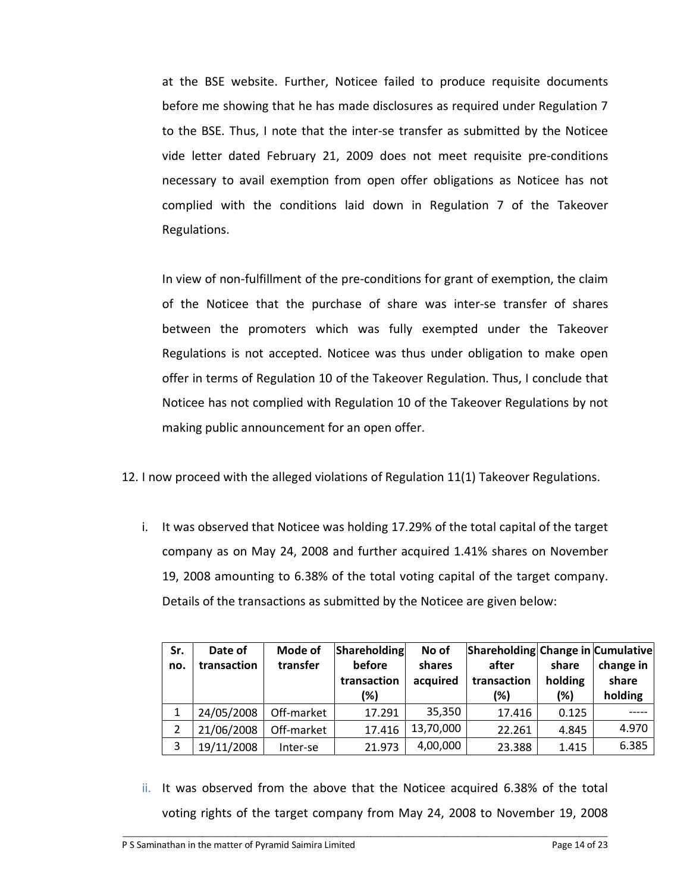at the BSE website. Further, Noticee failed to produce requisite documents before me showing that he has made disclosures as required under Regulation 7 to the BSE. Thus, I note that the inter-se transfer as submitted by the Noticee vide letter dated February 21, 2009 does not meet requisite pre-conditions necessary to avail exemption from open offer obligations as Noticee has not complied with the conditions laid down in Regulation 7 of the Takeover Regulations.

In view of non-fulfillment of the pre-conditions for grant of exemption, the claim of the Noticee that the purchase of share was inter-se transfer of shares between the promoters which was fully exempted under the Takeover Regulations is not accepted. Noticee was thus under obligation to make open offer in terms of Regulation 10 of the Takeover Regulation. Thus, I conclude that Noticee has not complied with Regulation 10 of the Takeover Regulations by not making public announcement for an open offer.

- 12. I now proceed with the alleged violations of Regulation 11(1) Takeover Regulations.
	- i. It was observed that Noticee was holding 17.29% of the total capital of the target company as on May 24, 2008 and further acquired 1.41% shares on November 19, 2008 amounting to 6.38% of the total voting capital of the target company. Details of the transactions as submitted by the Noticee are given below:

| Sr. | Date of     | Mode of    | Shareholding | No of     | Shareholding Change in Cumulative |         |           |
|-----|-------------|------------|--------------|-----------|-----------------------------------|---------|-----------|
| no. | transaction | transfer   | before       | shares    | after                             | share   | change in |
|     |             |            | transaction  | acquired  | transaction                       | holding | share     |
|     |             |            | (%)          |           | (%)                               | (%)     | holding   |
|     | 24/05/2008  | Off-market | 17.291       | 35,350    | 17.416                            | 0.125   |           |
|     | 21/06/2008  | Off-market | 17.416       | 13,70,000 | 22.261                            | 4.845   | 4.970     |
| 3   | 19/11/2008  | Inter-se   | 21.973       | 4,00,000  | 23.388                            | 1.415   | 6.385     |

ii. It was observed from the above that the Noticee acquired 6.38% of the total voting rights of the target company from May 24, 2008 to November 19, 2008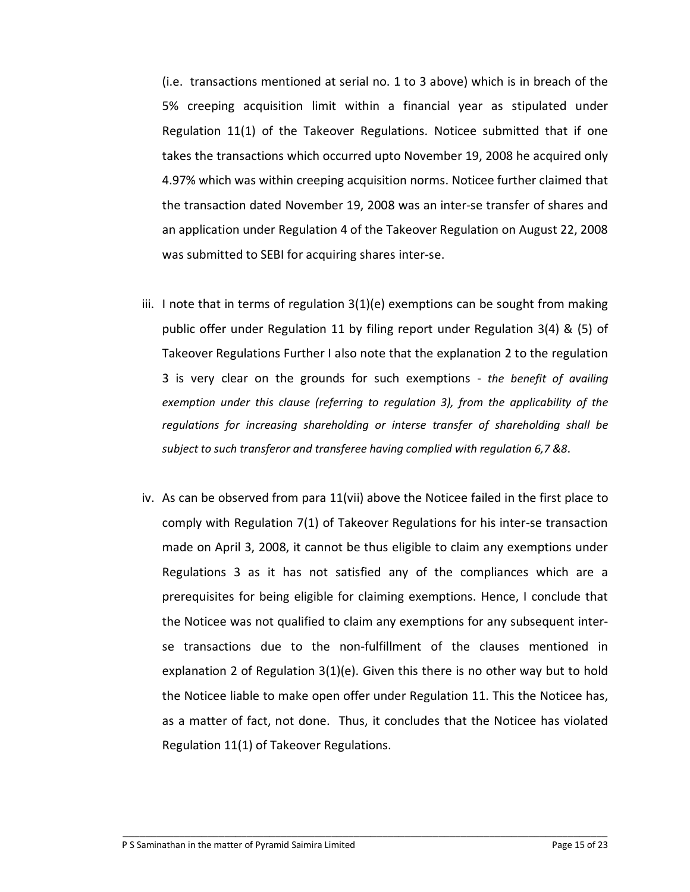(i.e. transactions mentioned at serial no. 1 to 3 above) which is in breach of the 5% creeping acquisition limit within a financial year as stipulated under Regulation 11(1) of the Takeover Regulations. Noticee submitted that if one takes the transactions which occurred upto November 19, 2008 he acquired only 4.97% which was within creeping acquisition norms. Noticee further claimed that the transaction dated November 19, 2008 was an inter-se transfer of shares and an application under Regulation 4 of the Takeover Regulation on August 22, 2008 was submitted to SEBI for acquiring shares inter-se.

- iii. I note that in terms of regulation 3(1)(e) exemptions can be sought from making public offer under Regulation 11 by filing report under Regulation 3(4) & (5) of Takeover Regulations Further I also note that the explanation 2 to the regulation 3 is very clear on the grounds for such exemptions - *the benefit of availing exemption under this clause (referring to regulation 3), from the applicability of the regulations for increasing shareholding or interse transfer of shareholding shall be subject to such transferor and transferee having complied with regulation 6,7 &8*.
- iv. As can be observed from para 11(vii) above the Noticee failed in the first place to comply with Regulation 7(1) of Takeover Regulations for his inter-se transaction made on April 3, 2008, it cannot be thus eligible to claim any exemptions under Regulations 3 as it has not satisfied any of the compliances which are a prerequisites for being eligible for claiming exemptions. Hence, I conclude that the Noticee was not qualified to claim any exemptions for any subsequent interse transactions due to the non-fulfillment of the clauses mentioned in explanation 2 of Regulation 3(1)(e). Given this there is no other way but to hold the Noticee liable to make open offer under Regulation 11. This the Noticee has, as a matter of fact, not done. Thus, it concludes that the Noticee has violated Regulation 11(1) of Takeover Regulations.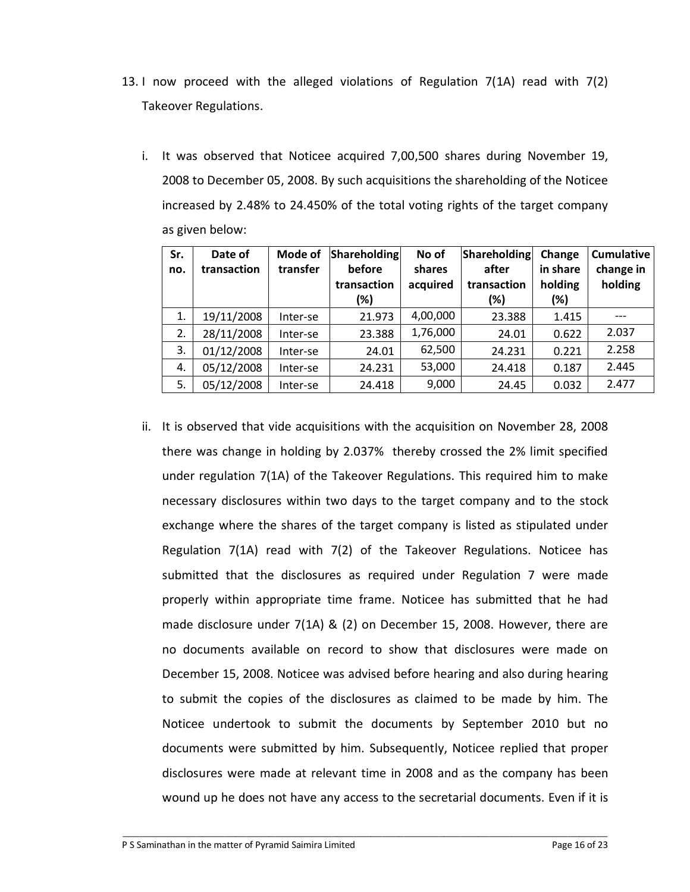- 13. I now proceed with the alleged violations of Regulation 7(1A) read with 7(2) Takeover Regulations.
	- i. It was observed that Noticee acquired 7,00,500 shares during November 19, 2008 to December 05, 2008. By such acquisitions the shareholding of the Noticee increased by 2.48% to 24.450% of the total voting rights of the target company as given below:

| Sr.<br>no. | Date of<br>transaction | Mode of<br>transfer | Shareholding<br>before<br>transaction<br>(%) | No of<br>shares<br>acquired | Shareholding<br>after<br>transaction<br>(%) | Change<br>in share<br>holding<br>(%) | <b>Cumulative</b><br>change in<br>holding |
|------------|------------------------|---------------------|----------------------------------------------|-----------------------------|---------------------------------------------|--------------------------------------|-------------------------------------------|
| 1.         | 19/11/2008             | Inter-se            | 21.973                                       | 4,00,000                    | 23.388                                      | 1.415                                |                                           |
| 2.         | 28/11/2008             | Inter-se            | 23.388                                       | 1,76,000                    | 24.01                                       | 0.622                                | 2.037                                     |
| 3.         | 01/12/2008             | Inter-se            | 24.01                                        | 62,500                      | 24.231                                      | 0.221                                | 2.258                                     |
| 4.         | 05/12/2008             | Inter-se            | 24.231                                       | 53,000                      | 24.418                                      | 0.187                                | 2.445                                     |
| 5.         | 05/12/2008             | Inter-se            | 24.418                                       | 9,000                       | 24.45                                       | 0.032                                | 2.477                                     |

ii. It is observed that vide acquisitions with the acquisition on November 28, 2008 there was change in holding by 2.037% thereby crossed the 2% limit specified under regulation 7(1A) of the Takeover Regulations. This required him to make necessary disclosures within two days to the target company and to the stock exchange where the shares of the target company is listed as stipulated under Regulation 7(1A) read with 7(2) of the Takeover Regulations. Noticee has submitted that the disclosures as required under Regulation 7 were made properly within appropriate time frame. Noticee has submitted that he had made disclosure under 7(1A) & (2) on December 15, 2008. However, there are no documents available on record to show that disclosures were made on December 15, 2008. Noticee was advised before hearing and also during hearing to submit the copies of the disclosures as claimed to be made by him. The Noticee undertook to submit the documents by September 2010 but no documents were submitted by him. Subsequently, Noticee replied that proper disclosures were made at relevant time in 2008 and as the company has been wound up he does not have any access to the secretarial documents. Even if it is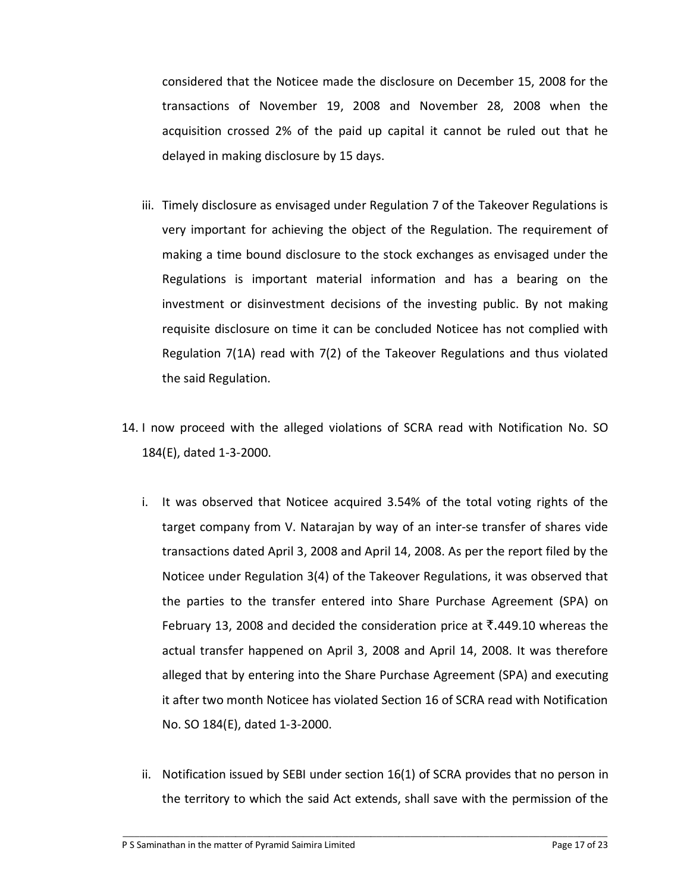considered that the Noticee made the disclosure on December 15, 2008 for the transactions of November 19, 2008 and November 28, 2008 when the acquisition crossed 2% of the paid up capital it cannot be ruled out that he delayed in making disclosure by 15 days.

- iii. Timely disclosure as envisaged under Regulation 7 of the Takeover Regulations is very important for achieving the object of the Regulation. The requirement of making a time bound disclosure to the stock exchanges as envisaged under the Regulations is important material information and has a bearing on the investment or disinvestment decisions of the investing public. By not making requisite disclosure on time it can be concluded Noticee has not complied with Regulation 7(1A) read with 7(2) of the Takeover Regulations and thus violated the said Regulation.
- 14. I now proceed with the alleged violations of SCRA read with Notification No. SO 184(E), dated 1-3-2000.
	- i. It was observed that Noticee acquired 3.54% of the total voting rights of the target company from V. Natarajan by way of an inter-se transfer of shares vide transactions dated April 3, 2008 and April 14, 2008. As per the report filed by the Noticee under Regulation 3(4) of the Takeover Regulations, it was observed that the parties to the transfer entered into Share Purchase Agreement (SPA) on February 13, 2008 and decided the consideration price at  $\bar{\tau}$ .449.10 whereas the actual transfer happened on April 3, 2008 and April 14, 2008. It was therefore alleged that by entering into the Share Purchase Agreement (SPA) and executing it after two month Noticee has violated Section 16 of SCRA read with Notification No. SO 184(E), dated 1-3-2000.
	- ii. Notification issued by SEBI under section 16(1) of SCRA provides that no person in the territory to which the said Act extends, shall save with the permission of the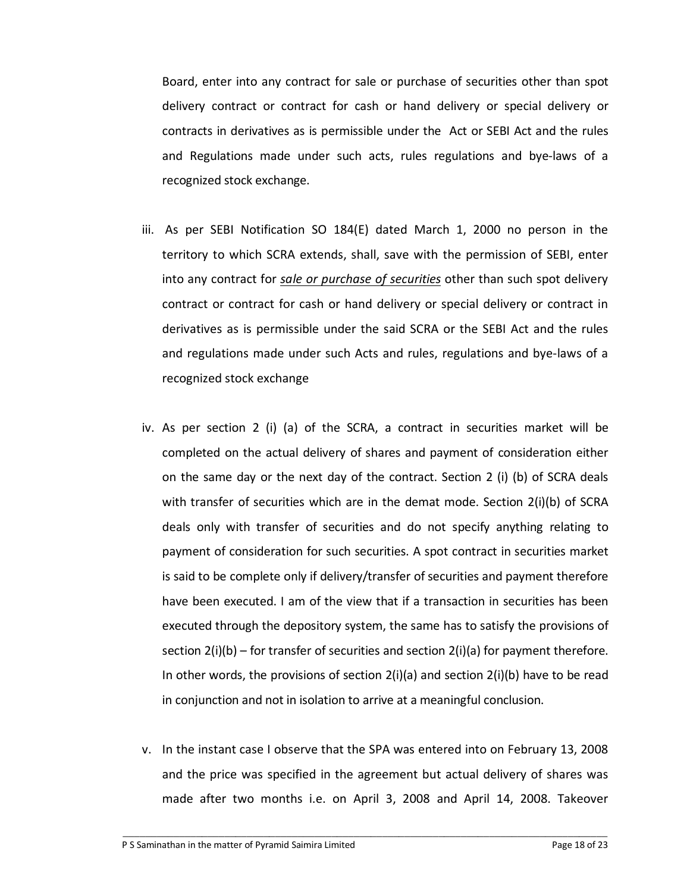Board, enter into any contract for sale or purchase of securities other than spot delivery contract or contract for cash or hand delivery or special delivery or contracts in derivatives as is permissible under the Act or SEBI Act and the rules and Regulations made under such acts, rules regulations and bye-laws of a recognized stock exchange.

- iii. As per SEBI Notification SO 184(E) dated March 1, 2000 no person in the territory to which SCRA extends, shall, save with the permission of SEBI, enter into any contract for *sale or purchase of securities* other than such spot delivery contract or contract for cash or hand delivery or special delivery or contract in derivatives as is permissible under the said SCRA or the SEBI Act and the rules and regulations made under such Acts and rules, regulations and bye-laws of a recognized stock exchange
- iv. As per section 2 (i) (a) of the SCRA, a contract in securities market will be completed on the actual delivery of shares and payment of consideration either on the same day or the next day of the contract. Section 2 (i) (b) of SCRA deals with transfer of securities which are in the demat mode. Section 2(i)(b) of SCRA deals only with transfer of securities and do not specify anything relating to payment of consideration for such securities. A spot contract in securities market is said to be complete only if delivery/transfer of securities and payment therefore have been executed. I am of the view that if a transaction in securities has been executed through the depository system, the same has to satisfy the provisions of section 2(i)(b) – for transfer of securities and section 2(i)(a) for payment therefore. In other words, the provisions of section  $2(i)(a)$  and section  $2(i)(b)$  have to be read in conjunction and not in isolation to arrive at a meaningful conclusion.
- v. In the instant case I observe that the SPA was entered into on February 13, 2008 and the price was specified in the agreement but actual delivery of shares was made after two months i.e. on April 3, 2008 and April 14, 2008. Takeover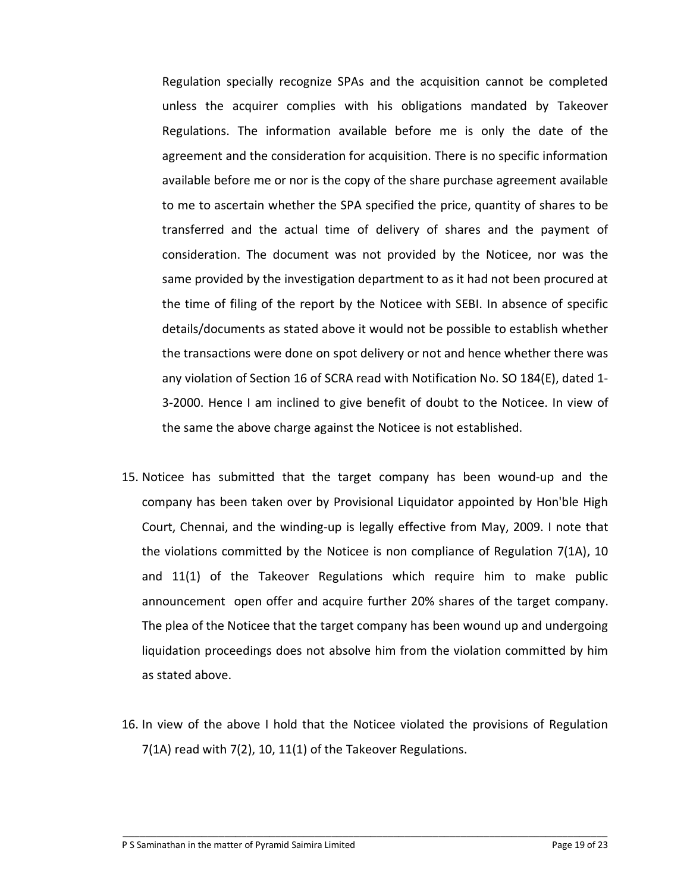Regulation specially recognize SPAs and the acquisition cannot be completed unless the acquirer complies with his obligations mandated by Takeover Regulations. The information available before me is only the date of the agreement and the consideration for acquisition. There is no specific information available before me or nor is the copy of the share purchase agreement available to me to ascertain whether the SPA specified the price, quantity of shares to be transferred and the actual time of delivery of shares and the payment of consideration. The document was not provided by the Noticee, nor was the same provided by the investigation department to as it had not been procured at the time of filing of the report by the Noticee with SEBI. In absence of specific details/documents as stated above it would not be possible to establish whether the transactions were done on spot delivery or not and hence whether there was any violation of Section 16 of SCRA read with Notification No. SO 184(E), dated 1- 3-2000. Hence I am inclined to give benefit of doubt to the Noticee. In view of the same the above charge against the Noticee is not established.

- 15. Noticee has submitted that the target company has been wound-up and the company has been taken over by Provisional Liquidator appointed by Hon'ble High Court, Chennai, and the winding-up is legally effective from May, 2009. I note that the violations committed by the Noticee is non compliance of Regulation 7(1A), 10 and 11(1) of the Takeover Regulations which require him to make public announcement open offer and acquire further 20% shares of the target company. The plea of the Noticee that the target company has been wound up and undergoing liquidation proceedings does not absolve him from the violation committed by him as stated above.
- 16. In view of the above I hold that the Noticee violated the provisions of Regulation 7(1A) read with 7(2), 10, 11(1) of the Takeover Regulations.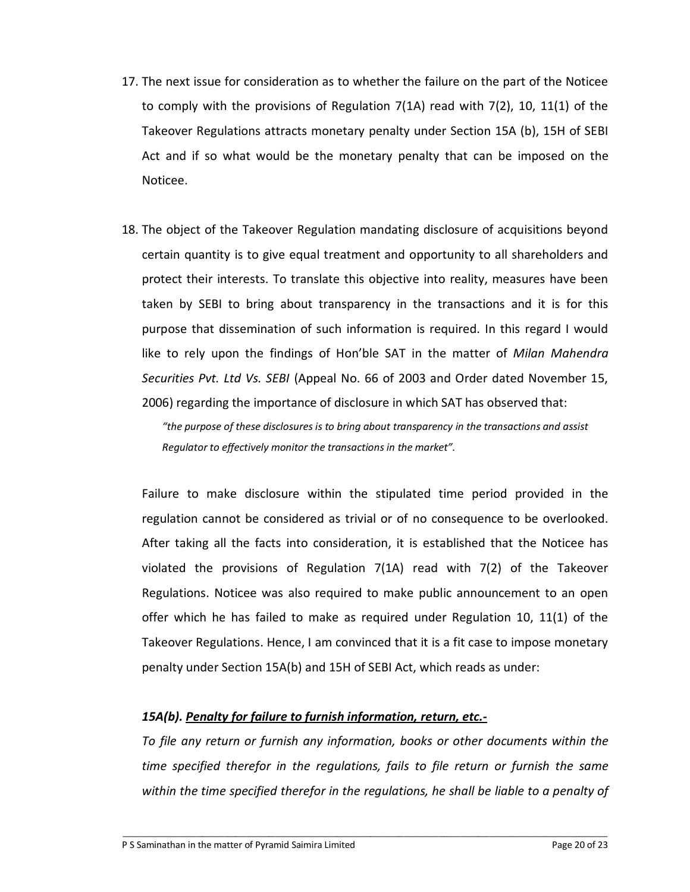- 17. The next issue for consideration as to whether the failure on the part of the Noticee to comply with the provisions of Regulation  $7(1A)$  read with  $7(2)$ , 10, 11(1) of the Takeover Regulations attracts monetary penalty under Section 15A (b), 15H of SEBI Act and if so what would be the monetary penalty that can be imposed on the Noticee.
- 18. The object of the Takeover Regulation mandating disclosure of acquisitions beyond certain quantity is to give equal treatment and opportunity to all shareholders and protect their interests. To translate this objective into reality, measures have been taken by SEBI to bring about transparency in the transactions and it is for this purpose that dissemination of such information is required. In this regard I would like to rely upon the findings of Hon'ble SAT in the matter of *Milan Mahendra Securities Pvt. Ltd Vs. SEBI* (Appeal No. 66 of 2003 and Order dated November 15, 2006) regarding the importance of disclosure in which SAT has observed that:

*"the purpose of these disclosures is to bring about transparency in the transactions and assist Regulator to effectively monitor the transactions in the market".* 

Failure to make disclosure within the stipulated time period provided in the regulation cannot be considered as trivial or of no consequence to be overlooked. After taking all the facts into consideration, it is established that the Noticee has violated the provisions of Regulation 7(1A) read with 7(2) of the Takeover Regulations. Noticee was also required to make public announcement to an open offer which he has failed to make as required under Regulation 10, 11(1) of the Takeover Regulations. Hence, I am convinced that it is a fit case to impose monetary penalty under Section 15A(b) and 15H of SEBI Act, which reads as under:

# *15A(b). Penalty for failure to furnish information, return, etc.-*

*To file any return or furnish any information, books or other documents within the time specified therefor in the regulations, fails to file return or furnish the same within the time specified therefor in the regulations, he shall be liable to a penalty of*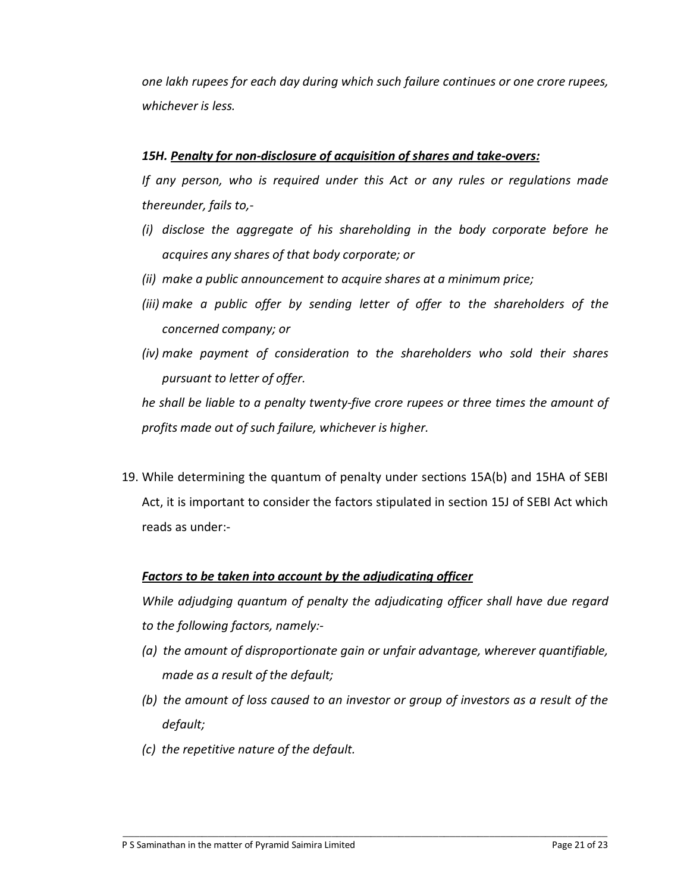*one lakh rupees for each day during which such failure continues or one crore rupees, whichever is less.* 

## *15H. Penalty for non-disclosure of acquisition of shares and take-overs:*

*If any person, who is required under this Act or any rules or regulations made thereunder, fails to,-* 

- *(i) disclose the aggregate of his shareholding in the body corporate before he acquires any shares of that body corporate; or*
- *(ii) make a public announcement to acquire shares at a minimum price;*
- *(iii) make a public offer by sending letter of offer to the shareholders of the concerned company; or*
- *(iv) make payment of consideration to the shareholders who sold their shares pursuant to letter of offer.*

*he shall be liable to a penalty twenty-five crore rupees or three times the amount of profits made out of such failure, whichever is higher.* 

19. While determining the quantum of penalty under sections 15A(b) and 15HA of SEBI Act, it is important to consider the factors stipulated in section 15J of SEBI Act which reads as under:-

# *Factors to be taken into account by the adjudicating officer*

*While adjudging quantum of penalty the adjudicating officer shall have due regard to the following factors, namely:-* 

- *(a) the amount of disproportionate gain or unfair advantage, wherever quantifiable, made as a result of the default;*
- *(b) the amount of loss caused to an investor or group of investors as a result of the default;*
- *(c) the repetitive nature of the default.*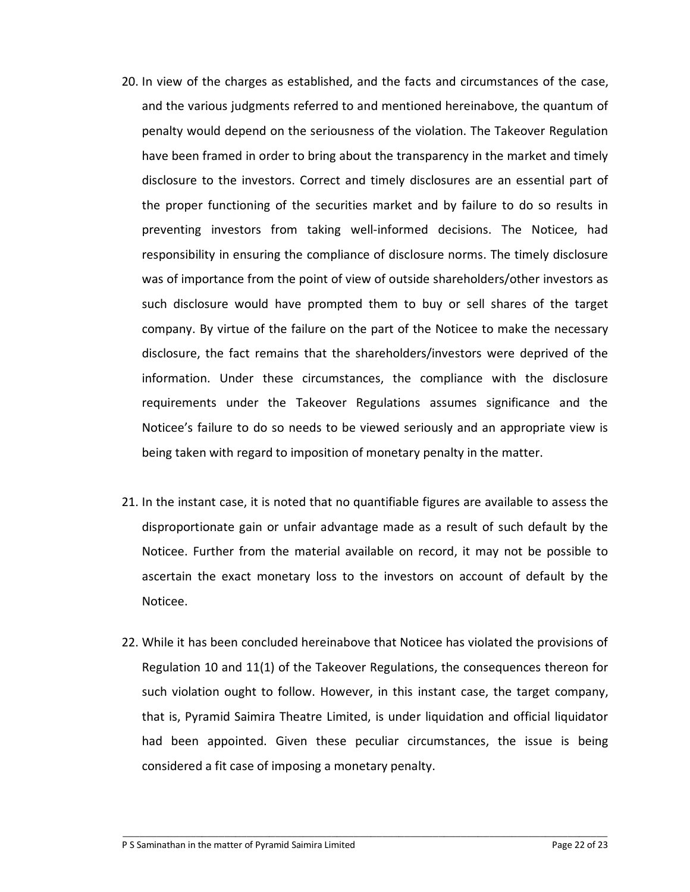- 20. In view of the charges as established, and the facts and circumstances of the case, and the various judgments referred to and mentioned hereinabove, the quantum of penalty would depend on the seriousness of the violation. The Takeover Regulation have been framed in order to bring about the transparency in the market and timely disclosure to the investors. Correct and timely disclosures are an essential part of the proper functioning of the securities market and by failure to do so results in preventing investors from taking well-informed decisions. The Noticee, had responsibility in ensuring the compliance of disclosure norms. The timely disclosure was of importance from the point of view of outside shareholders/other investors as such disclosure would have prompted them to buy or sell shares of the target company. By virtue of the failure on the part of the Noticee to make the necessary disclosure, the fact remains that the shareholders/investors were deprived of the information. Under these circumstances, the compliance with the disclosure requirements under the Takeover Regulations assumes significance and the Noticee's failure to do so needs to be viewed seriously and an appropriate view is being taken with regard to imposition of monetary penalty in the matter.
- 21. In the instant case, it is noted that no quantifiable figures are available to assess the disproportionate gain or unfair advantage made as a result of such default by the Noticee. Further from the material available on record, it may not be possible to ascertain the exact monetary loss to the investors on account of default by the Noticee.
- 22. While it has been concluded hereinabove that Noticee has violated the provisions of Regulation 10 and 11(1) of the Takeover Regulations, the consequences thereon for such violation ought to follow. However, in this instant case, the target company, that is, Pyramid Saimira Theatre Limited, is under liquidation and official liquidator had been appointed. Given these peculiar circumstances, the issue is being considered a fit case of imposing a monetary penalty.